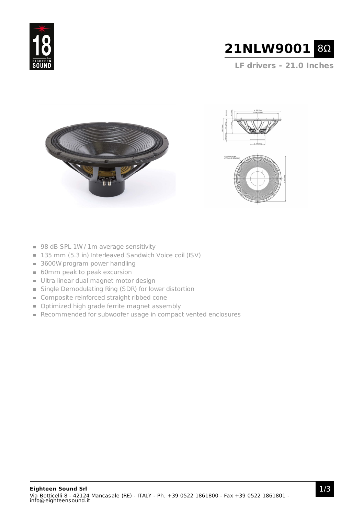



**LF drivers - 21.0 Inches**







- 98 dB SPL 1W / 1m average sensitivity
- 135 mm (5.3 in) Interleaved Sandwich Voice coil (ISV)
- 3600W program power handling
- **60mm peak to peak excursion**
- Ultra linear dual magnet motor design
- Single Demodulating Ring (SDR) for lower distortion
- **Composite reinforced straight ribbed cone**
- **Optimized high grade ferrite magnet assembly**
- Recommended for subwoofer usage in compact vented enclosures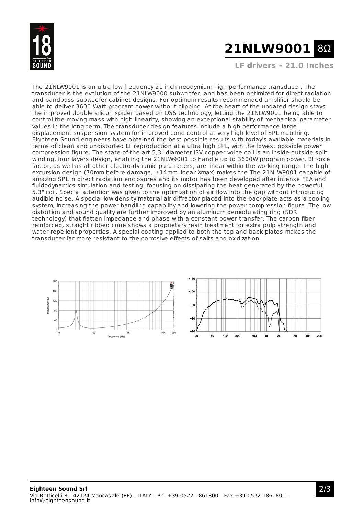

# **21NLW9001** 8Ω

**LF drivers - 21.0 Inches**

The 21NLW9001 is an ultra low frequency 21 inch neodymium high performance transducer. The transducer is the evolution of the 21NLW9000 subwoofer, and has been optimized for direct radiation and bandpass subwoofer cabinet designs. For optimum results recommended amplifier should be able to deliver 3600 Watt program power without clipping. At the heart of the updated design stays the improved double silicon spider based on DSS technology, letting the 21NLW9001 being able to control the moving mass with high linearity, showing an exceptional stability of mechanical parameter values in the long term. The transducer design features include a high performance large displacement suspension system for improved cone control at very high level of SPL matching. Eighteen Sound engineers have obtained the best possible results with today's available materials in terms of clean and undistorted LF reproduction at a ultra high SPL, with the lowest possible power compression figure. The state-of-the-art 5,3" diameter ISV copper voice coil is an inside-outside split winding, four layers design, enabling the 21NLW9001 to handle up to 3600W program power. Bl force factor, as well as all other electro-dynamic parameters, are linear within the working range. The high excursion design (70mm before damage, ±14mm linear Xmax) makes the The 21NLW9001 capable of amazing SPL in direct radiation enclosures and its motor has been developed after intense FEA and fluidodynamics simulation and testing, focusing on dissipating the heat generated by the powerful 5.3" coil. Special attention was given to the optimization of air flow into the gap without introducing audible noise. A special low density material air diffractor placed into the backplate acts as a cooling system, increasing the power handling capability and lowering the power compression figure. The low distortion and sound quality are further improved by an aluminum demodulating ring (SDR technology) that flatten impedance and phase with a constant power transfer. The carbon fiber reinforced, straight ribbed cone shows a proprietary resin treatment for extra pulp strength and water repellent properties. A special coating applied to both the top and back plates makes the transducer far more resistant to the corrosive effects of salts and oxidization.